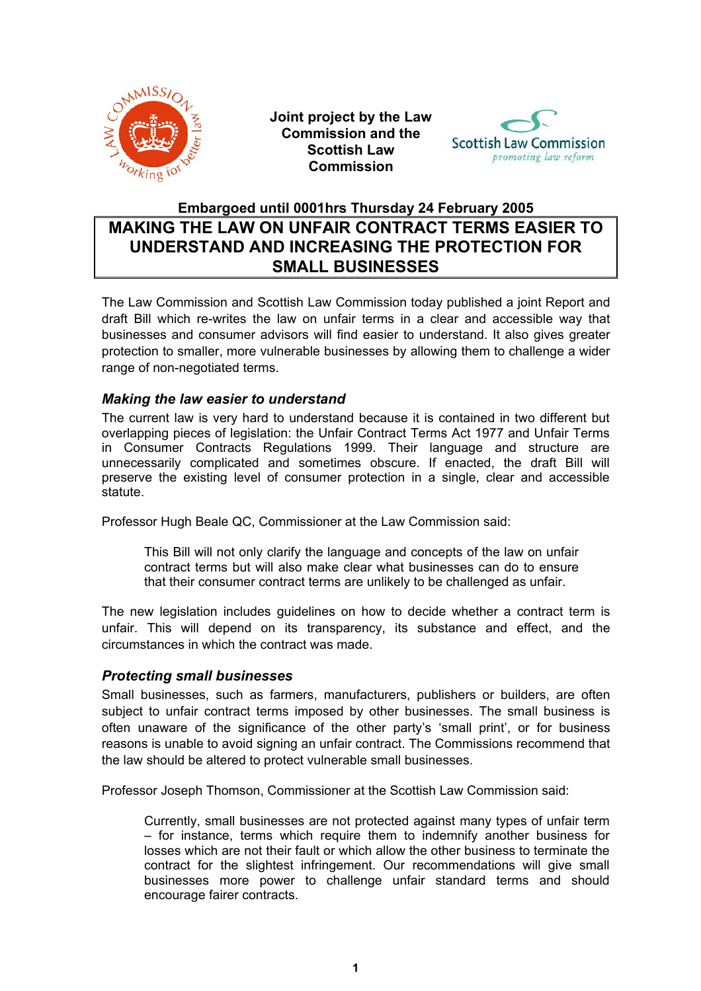

**Joint project by the Law Commission and the Scottish Law Commission** 



## **Embargoed until 0001hrs Thursday 24 February 2005 MAKING THE LAW ON UNFAIR CONTRACT TERMS EASIER TO UNDERSTAND AND INCREASING THE PROTECTION FOR SMALL BUSINESSES**

The Law Commission and Scottish Law Commission today published a joint Report and draft Bill which re-writes the law on unfair terms in a clear and accessible way that businesses and consumer advisors will find easier to understand. It also gives greater protection to smaller, more vulnerable businesses by allowing them to challenge a wider range of non-negotiated terms.

## *Making the law easier to understand*

The current law is very hard to understand because it is contained in two different but overlapping pieces of legislation: the Unfair Contract Terms Act 1977 and Unfair Terms in Consumer Contracts Regulations 1999. Their language and structure are unnecessarily complicated and sometimes obscure. If enacted, the draft Bill will preserve the existing level of consumer protection in a single, clear and accessible statute.

Professor Hugh Beale QC, Commissioner at the Law Commission said:

This Bill will not only clarify the language and concepts of the law on unfair contract terms but will also make clear what businesses can do to ensure that their consumer contract terms are unlikely to be challenged as unfair.

The new legislation includes guidelines on how to decide whether a contract term is unfair. This will depend on its transparency, its substance and effect, and the circumstances in which the contract was made.

## *Protecting small businesses*

Small businesses, such as farmers, manufacturers, publishers or builders, are often subject to unfair contract terms imposed by other businesses. The small business is often unaware of the significance of the other party's 'small print', or for business reasons is unable to avoid signing an unfair contract. The Commissions recommend that the law should be altered to protect vulnerable small businesses.

Professor Joseph Thomson, Commissioner at the Scottish Law Commission said:

Currently, small businesses are not protected against many types of unfair term – for instance, terms which require them to indemnify another business for losses which are not their fault or which allow the other business to terminate the contract for the slightest infringement. Our recommendations will give small businesses more power to challenge unfair standard terms and should encourage fairer contracts.